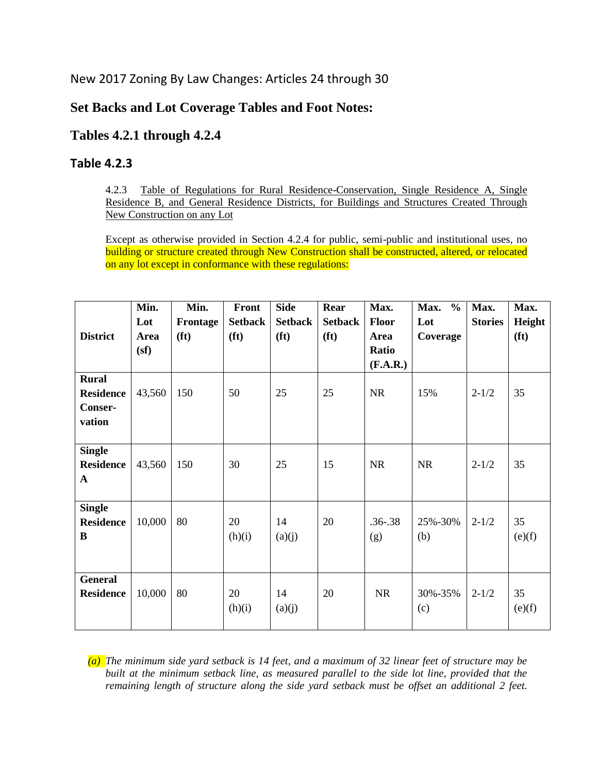New 2017 Zoning By Law Changes: Articles 24 through 30

## **Set Backs and Lot Coverage Tables and Foot Notes:**

## **Tables 4.2.1 through 4.2.4**

## **Table 4.2.3**

4.2.3 Table of Regulations for Rural Residence-Conservation, Single Residence A, Single Residence B, and General Residence Districts, for Buildings and Structures Created Through New Construction on any Lot

Except as otherwise provided in Section 4.2.4 for public, semi-public and institutional uses, no building or structure created through New Construction shall be constructed, altered, or relocated on any lot except in conformance with these regulations:

|                  | Min.   | Min.              | Front             | <b>Side</b>       | Rear              | Max.         | Max.<br>$\frac{6}{6}$ | Max.           | Max.              |
|------------------|--------|-------------------|-------------------|-------------------|-------------------|--------------|-----------------------|----------------|-------------------|
|                  | Lot    | Frontage          | <b>Setback</b>    | <b>Setback</b>    | <b>Setback</b>    | <b>Floor</b> | Lot                   | <b>Stories</b> | Height            |
| <b>District</b>  | Area   | (f <sub>t</sub> ) | (f <sub>t</sub> ) | (f <sub>t</sub> ) | (f <sup>t</sup> ) | Area         | Coverage              |                | (f <sup>t</sup> ) |
|                  | (sf)   |                   |                   |                   |                   | Ratio        |                       |                |                   |
|                  |        |                   |                   |                   |                   | (F.A.R.)     |                       |                |                   |
| <b>Rural</b>     |        |                   |                   |                   |                   |              |                       |                |                   |
| <b>Residence</b> | 43,560 | 150               | 50                | 25                | 25                | <b>NR</b>    | 15%                   | $2 - 1/2$      | 35                |
| Conser-          |        |                   |                   |                   |                   |              |                       |                |                   |
| vation           |        |                   |                   |                   |                   |              |                       |                |                   |
|                  |        |                   |                   |                   |                   |              |                       |                |                   |
| <b>Single</b>    |        |                   |                   |                   |                   |              |                       |                |                   |
| <b>Residence</b> | 43,560 | 150               | 30                | 25                | 15                | <b>NR</b>    | <b>NR</b>             | $2 - 1/2$      | 35                |
| $\mathbf A$      |        |                   |                   |                   |                   |              |                       |                |                   |
|                  |        |                   |                   |                   |                   |              |                       |                |                   |
| <b>Single</b>    |        |                   |                   |                   |                   |              |                       |                |                   |
| <b>Residence</b> | 10,000 | 80                | 20                | 14                | 20                | $.36 - .38$  | 25%-30%               | $2 - 1/2$      | 35                |
| B                |        |                   | (h)(i)            | (a)(j)            |                   | (g)          | (b)                   |                | (e)(f)            |
|                  |        |                   |                   |                   |                   |              |                       |                |                   |
|                  |        |                   |                   |                   |                   |              |                       |                |                   |
| <b>General</b>   |        |                   |                   |                   |                   |              |                       |                |                   |
| <b>Residence</b> | 10,000 | 80                | 20                | 14                | 20                | <b>NR</b>    | 30%-35%               | $2 - 1/2$      | 35                |
|                  |        |                   | (h)(i)            | (a)(j)            |                   |              | (c)                   |                | (e)(f)            |
|                  |        |                   |                   |                   |                   |              |                       |                |                   |

*(a) The minimum side yard setback is 14 feet, and a maximum of 32 linear feet of structure may be built at the minimum setback line, as measured parallel to the side lot line, provided that the remaining length of structure along the side yard setback must be offset an additional 2 feet.*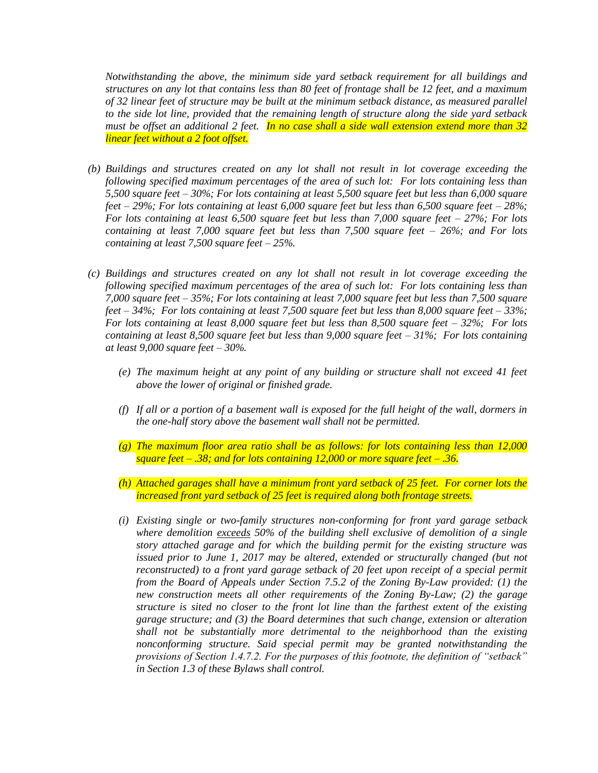*Notwithstanding the above, the minimum side yard setback requirement for all buildings and structures on any lot that contains less than 80 feet of frontage shall be 12 feet, and a maximum of 32 linear feet of structure may be built at the minimum setback distance, as measured parallel to the side lot line, provided that the remaining length of structure along the side yard setback must be offset an additional 2 feet. In no case shall a side wall extension extend more than 32 linear feet without a 2 foot offset.* 

- *(b) Buildings and structures created on any lot shall not result in lot coverage exceeding the following specified maximum percentages of the area of such lot: For lots containing less than 5,500 square feet – 30%; For lots containing at least 5,500 square feet but less than 6,000 square feet – 29%; For lots containing at least 6,000 square feet but less than 6,500 square feet – 28%; For lots containing at least 6,500 square feet but less than 7,000 square feet – 27%; For lots containing at least 7,000 square feet but less than 7,500 square feet – 26%; and For lots containing at least 7,500 square feet – 25%.*
- *(c) Buildings and structures created on any lot shall not result in lot coverage exceeding the following specified maximum percentages of the area of such lot: For lots containing less than 7,000 square feet – 35%; For lots containing at least 7,000 square feet but less than 7,500 square feet – 34%; For lots containing at least 7,500 square feet but less than 8,000 square feet – 33%; For lots containing at least 8,000 square feet but less than 8,500 square feet – 32%; For lots containing at least 8,500 square feet but less than 9,000 square feet – 31%; For lots containing at least 9,000 square feet – 30%.* 
	- *(e) The maximum height at any point of any building or structure shall not exceed 41 feet above the lower of original or finished grade.*
	- *(f) If all or a portion of a basement wall is exposed for the full height of the wall, dormers in the one-half story above the basement wall shall not be permitted.*
	- *(g) The maximum floor area ratio shall be as follows: for lots containing less than 12,000 square feet – .38; and for lots containing 12,000 or more square feet – .36.*
	- *(h) Attached garages shall have a minimum front yard setback of 25 feet. For corner lots the increased front yard setback of 25 feet is required along both frontage streets.*
	- *(i) Existing single or two-family structures non-conforming for front yard garage setback where demolition exceeds 50% of the building shell exclusive of demolition of a single story attached garage and for which the building permit for the existing structure was issued prior to June 1, 2017 may be altered, extended or structurally changed (but not reconstructed) to a front yard garage setback of 20 feet upon receipt of a special permit from the Board of Appeals under Section 7.5.2 of the Zoning By-Law provided: (1) the new construction meets all other requirements of the Zoning By-Law; (2) the garage structure is sited no closer to the front lot line than the farthest extent of the existing garage structure; and (3) the Board determines that such change, extension or alteration shall not be substantially more detrimental to the neighborhood than the existing nonconforming structure. Said special permit may be granted notwithstanding the provisions of Section 1.4.7.2. For the purposes of this footnote, the definition of "setback" in Section 1.3 of these Bylaws shall control.*